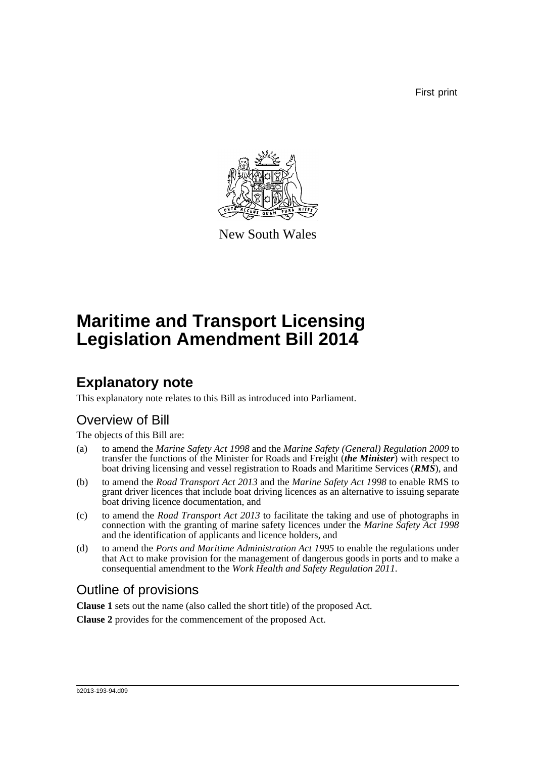First print



New South Wales

# **Maritime and Transport Licensing Legislation Amendment Bill 2014**

## **Explanatory note**

This explanatory note relates to this Bill as introduced into Parliament.

## Overview of Bill

The objects of this Bill are:

- (a) to amend the *Marine Safety Act 1998* and the *Marine Safety (General) Regulation 2009* to transfer the functions of the Minister for Roads and Freight (*the Minister*) with respect to boat driving licensing and vessel registration to Roads and Maritime Services (*RMS*), and
- (b) to amend the *Road Transport Act 2013* and the *Marine Safety Act 1998* to enable RMS to grant driver licences that include boat driving licences as an alternative to issuing separate boat driving licence documentation, and
- (c) to amend the *Road Transport Act 2013* to facilitate the taking and use of photographs in connection with the granting of marine safety licences under the *Marine Safety Act 1998* and the identification of applicants and licence holders, and
- (d) to amend the *Ports and Maritime Administration Act 1995* to enable the regulations under that Act to make provision for the management of dangerous goods in ports and to make a consequential amendment to the *Work Health and Safety Regulation 2011*.

## Outline of provisions

**Clause 1** sets out the name (also called the short title) of the proposed Act.

**Clause 2** provides for the commencement of the proposed Act.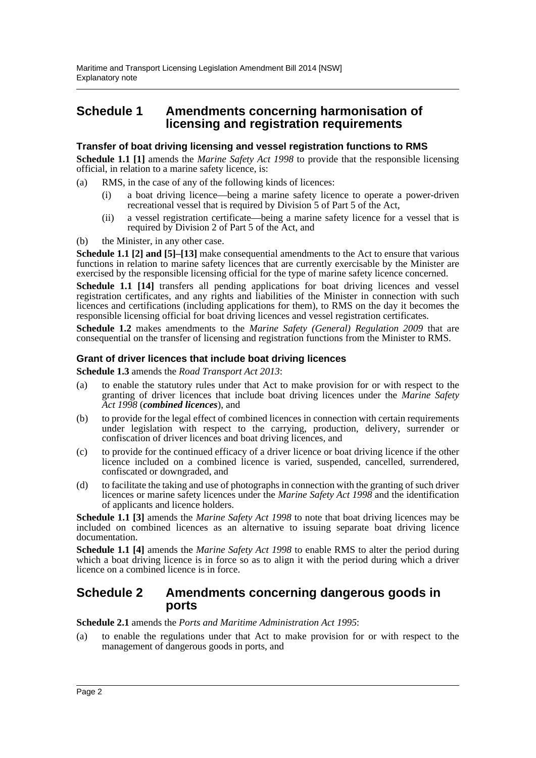### **Schedule 1 Amendments concerning harmonisation of licensing and registration requirements**

### **Transfer of boat driving licensing and vessel registration functions to RMS**

**Schedule 1.1 [1]** amends the *Marine Safety Act 1998* to provide that the responsible licensing official, in relation to a marine safety licence, is:

- (a) RMS, in the case of any of the following kinds of licences:
	- (i) a boat driving licence—being a marine safety licence to operate a power-driven recreational vessel that is required by Division 5 of Part 5 of the Act,
	- (ii) a vessel registration certificate—being a marine safety licence for a vessel that is required by Division 2 of Part 5 of the Act, and
- (b) the Minister, in any other case.

**Schedule 1.1** [2] **and** [5]–[13] make consequential amendments to the Act to ensure that various functions in relation to marine safety licences that are currently exercisable by the Minister are exercised by the responsible licensing official for the type of marine safety licence concerned.

**Schedule 1.1 [14]** transfers all pending applications for boat driving licences and vessel registration certificates, and any rights and liabilities of the Minister in connection with such licences and certifications (including applications for them), to RMS on the day it becomes the responsible licensing official for boat driving licences and vessel registration certificates.

**Schedule 1.2** makes amendments to the *Marine Safety (General) Regulation 2009* that are consequential on the transfer of licensing and registration functions from the Minister to RMS.

### **Grant of driver licences that include boat driving licences**

**Schedule 1.3** amends the *Road Transport Act 2013*:

- (a) to enable the statutory rules under that Act to make provision for or with respect to the granting of driver licences that include boat driving licences under the *Marine Safety Act 1998* (*combined licences*), and
- (b) to provide for the legal effect of combined licences in connection with certain requirements under legislation with respect to the carrying, production, delivery, surrender or confiscation of driver licences and boat driving licences, and
- (c) to provide for the continued efficacy of a driver licence or boat driving licence if the other licence included on a combined licence is varied, suspended, cancelled, surrendered, confiscated or downgraded, and
- (d) to facilitate the taking and use of photographs in connection with the granting of such driver licences or marine safety licences under the *Marine Safety Act 1998* and the identification of applicants and licence holders.

**Schedule 1.1 [3]** amends the *Marine Safety Act 1998* to note that boat driving licences may be included on combined licences as an alternative to issuing separate boat driving licence documentation.

**Schedule 1.1 [4]** amends the *Marine Safety Act 1998* to enable RMS to alter the period during which a boat driving licence is in force so as to align it with the period during which a driver licence on a combined licence is in force.

### **Schedule 2 Amendments concerning dangerous goods in ports**

**Schedule 2.1** amends the *Ports and Maritime Administration Act 1995*:

(a) to enable the regulations under that Act to make provision for or with respect to the management of dangerous goods in ports, and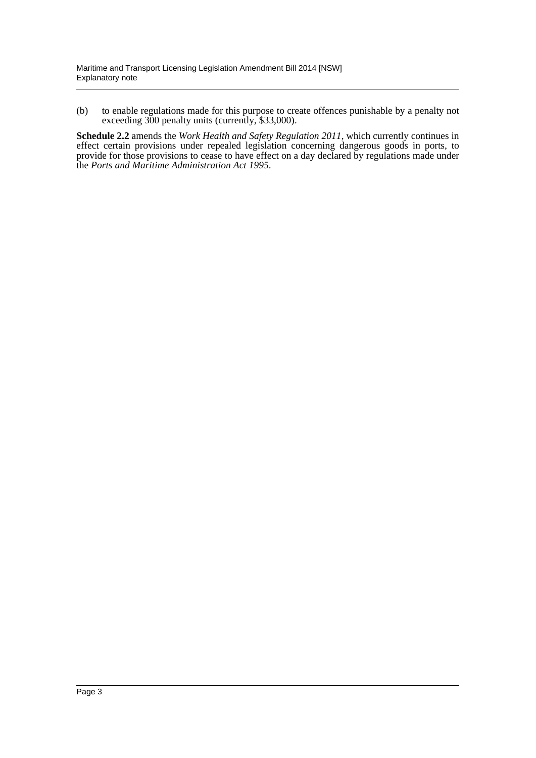(b) to enable regulations made for this purpose to create offences punishable by a penalty not exceeding 300 penalty units (currently, \$33,000).

**Schedule 2.2** amends the *Work Health and Safety Regulation 2011*, which currently continues in effect certain provisions under repealed legislation concerning dangerous goods in ports, to provide for those provisions to cease to have effect on a day declared by regulations made under the *Ports and Maritime Administration Act 1995*.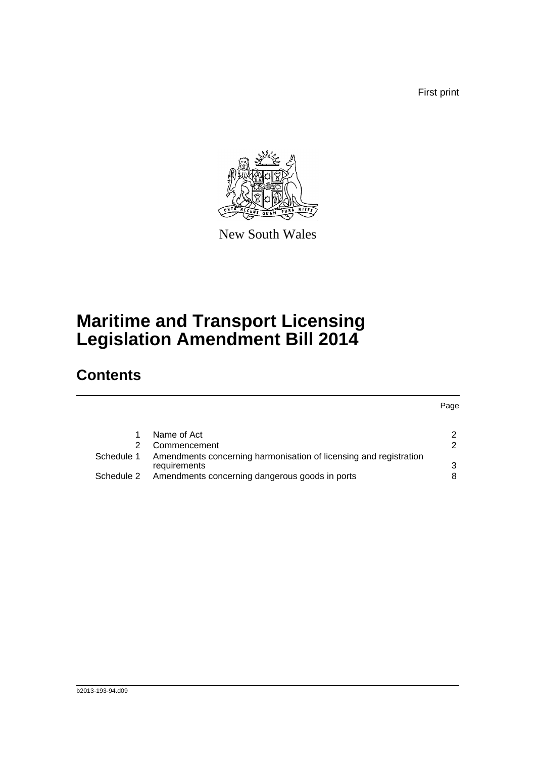First print



New South Wales

# **Maritime and Transport Licensing Legislation Amendment Bill 2014**

## **Contents**

| $\mathcal{P}$                                                          |
|------------------------------------------------------------------------|
| $\mathcal{P}$                                                          |
| Amendments concerning harmonisation of licensing and registration<br>3 |
| 8                                                                      |
|                                                                        |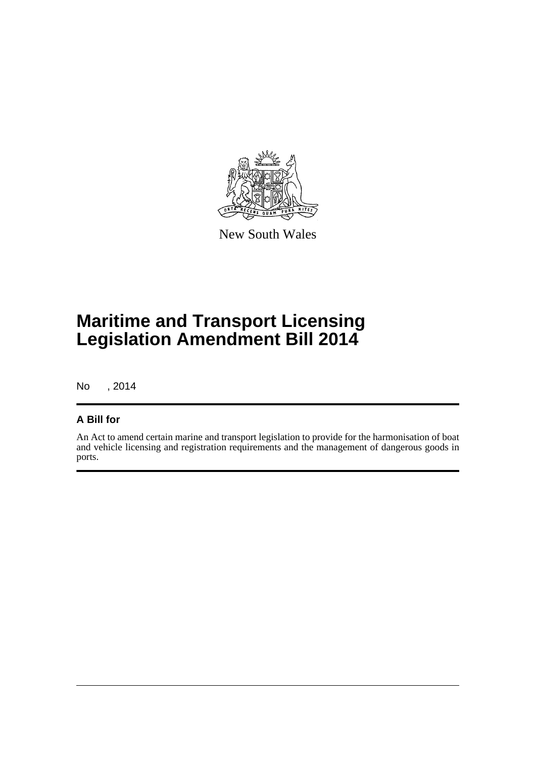

New South Wales

# **Maritime and Transport Licensing Legislation Amendment Bill 2014**

No , 2014

### **A Bill for**

An Act to amend certain marine and transport legislation to provide for the harmonisation of boat and vehicle licensing and registration requirements and the management of dangerous goods in ports.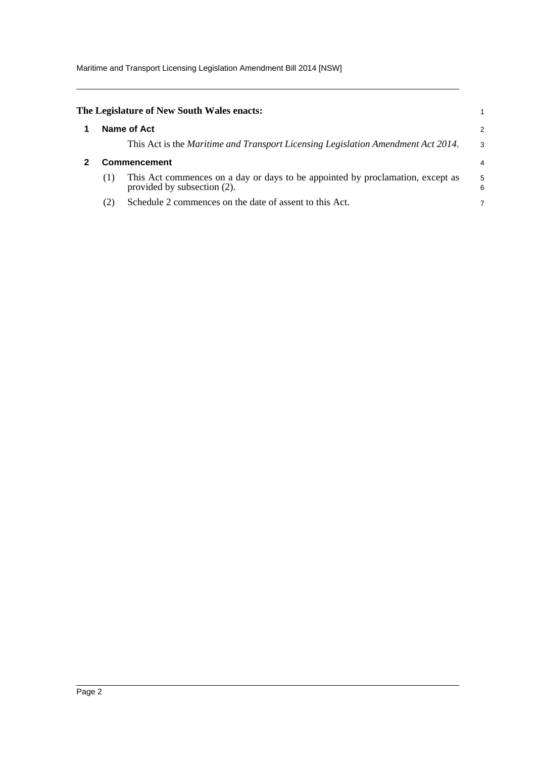Maritime and Transport Licensing Legislation Amendment Bill 2014 [NSW]

<span id="page-5-1"></span><span id="page-5-0"></span>

|     | The Legislature of New South Wales enacts:                                                                    |        |
|-----|---------------------------------------------------------------------------------------------------------------|--------|
|     | Name of Act                                                                                                   | 2      |
|     | This Act is the Maritime and Transport Licensing Legislation Amendment Act 2014.                              | 3      |
|     | Commencement                                                                                                  | 4      |
| (1) | This Act commences on a day or days to be appointed by proclamation, except as<br>provided by subsection (2). | 5<br>6 |
| (2) | Schedule 2 commences on the date of assent to this Act.                                                       |        |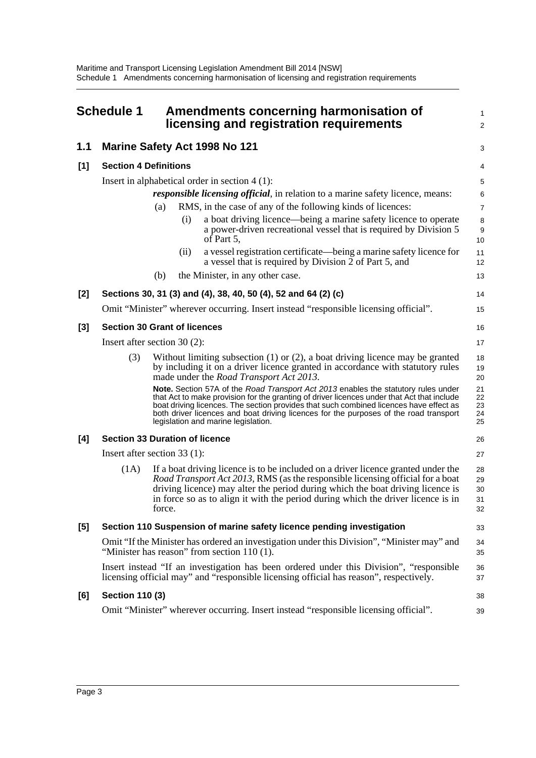<span id="page-6-0"></span>

|       | <b>Schedule 1</b>                                                                                                                                                                                                              |                                                                       |      | Amendments concerning harmonisation of<br>licensing and registration requirements                                                                                                                                                                                                                                                                                                                          | 1<br>$\overline{2}$        |  |  |
|-------|--------------------------------------------------------------------------------------------------------------------------------------------------------------------------------------------------------------------------------|-----------------------------------------------------------------------|------|------------------------------------------------------------------------------------------------------------------------------------------------------------------------------------------------------------------------------------------------------------------------------------------------------------------------------------------------------------------------------------------------------------|----------------------------|--|--|
| 1.1   |                                                                                                                                                                                                                                |                                                                       |      | <b>Marine Safety Act 1998 No 121</b>                                                                                                                                                                                                                                                                                                                                                                       | 3                          |  |  |
| [1]   | <b>Section 4 Definitions</b>                                                                                                                                                                                                   |                                                                       |      |                                                                                                                                                                                                                                                                                                                                                                                                            | 4                          |  |  |
|       |                                                                                                                                                                                                                                |                                                                       |      | Insert in alphabetical order in section $4(1)$ :                                                                                                                                                                                                                                                                                                                                                           | 5                          |  |  |
|       |                                                                                                                                                                                                                                |                                                                       |      | <i>responsible licensing official</i> , in relation to a marine safety licence, means:                                                                                                                                                                                                                                                                                                                     | 6                          |  |  |
|       |                                                                                                                                                                                                                                | (a)                                                                   |      | RMS, in the case of any of the following kinds of licences:                                                                                                                                                                                                                                                                                                                                                | $\overline{7}$             |  |  |
|       |                                                                                                                                                                                                                                |                                                                       | (i)  | a boat driving licence—being a marine safety licence to operate<br>a power-driven recreational vessel that is required by Division 5<br>of Part 5,                                                                                                                                                                                                                                                         | 8<br>9<br>10               |  |  |
|       |                                                                                                                                                                                                                                |                                                                       | (ii) | a vessel registration certificate—being a marine safety licence for<br>a vessel that is required by Division 2 of Part 5, and                                                                                                                                                                                                                                                                              | 11<br>12                   |  |  |
|       |                                                                                                                                                                                                                                | (b)                                                                   |      | the Minister, in any other case.                                                                                                                                                                                                                                                                                                                                                                           | 13                         |  |  |
| [2]   |                                                                                                                                                                                                                                |                                                                       |      | Sections 30, 31 (3) and (4), 38, 40, 50 (4), 52 and 64 (2) (c)                                                                                                                                                                                                                                                                                                                                             | 14                         |  |  |
|       |                                                                                                                                                                                                                                |                                                                       |      | Omit "Minister" wherever occurring. Insert instead "responsible licensing official".                                                                                                                                                                                                                                                                                                                       | 15                         |  |  |
| $[3]$ | <b>Section 30 Grant of licences</b>                                                                                                                                                                                            |                                                                       |      |                                                                                                                                                                                                                                                                                                                                                                                                            | 16                         |  |  |
|       | Insert after section $30(2)$ :                                                                                                                                                                                                 |                                                                       |      |                                                                                                                                                                                                                                                                                                                                                                                                            | 17                         |  |  |
|       | (3)<br>Without limiting subsection $(1)$ or $(2)$ , a boat driving licence may be granted<br>by including it on a driver licence granted in accordance with statutory rules<br>made under the <i>Road Transport Act 2013</i> . |                                                                       |      |                                                                                                                                                                                                                                                                                                                                                                                                            |                            |  |  |
|       |                                                                                                                                                                                                                                |                                                                       |      | Note. Section 57A of the Road Transport Act 2013 enables the statutory rules under<br>that Act to make provision for the granting of driver licences under that Act that include<br>boat driving licences. The section provides that such combined licences have effect as<br>both driver licences and boat driving licences for the purposes of the road transport<br>legislation and marine legislation. | 21<br>22<br>23<br>24<br>25 |  |  |
| [4]   | <b>Section 33 Duration of licence</b>                                                                                                                                                                                          |                                                                       |      |                                                                                                                                                                                                                                                                                                                                                                                                            | 26                         |  |  |
|       | Insert after section 33 (1):                                                                                                                                                                                                   |                                                                       |      |                                                                                                                                                                                                                                                                                                                                                                                                            | 27                         |  |  |
|       | (1A)                                                                                                                                                                                                                           | force.                                                                |      | If a boat driving licence is to be included on a driver licence granted under the<br>Road Transport Act 2013, RMS (as the responsible licensing official for a boat<br>driving licence) may alter the period during which the boat driving licence is<br>in force so as to align it with the period during which the driver licence is in                                                                  | 28<br>29<br>30<br>31<br>32 |  |  |
| [5]   |                                                                                                                                                                                                                                | Section 110 Suspension of marine safety licence pending investigation |      |                                                                                                                                                                                                                                                                                                                                                                                                            |                            |  |  |
|       | Omit "If the Minister has ordered an investigation under this Division", "Minister may" and<br>"Minister has reason" from section $110(1)$ .                                                                                   |                                                                       |      |                                                                                                                                                                                                                                                                                                                                                                                                            |                            |  |  |
|       | Insert instead "If an investigation has been ordered under this Division", "responsible<br>licensing official may" and "responsible licensing official has reason", respectively.                                              |                                                                       |      |                                                                                                                                                                                                                                                                                                                                                                                                            | 36<br>37                   |  |  |
| [6]   | <b>Section 110 (3)</b>                                                                                                                                                                                                         |                                                                       |      |                                                                                                                                                                                                                                                                                                                                                                                                            | 38                         |  |  |
|       |                                                                                                                                                                                                                                |                                                                       |      | Omit "Minister" wherever occurring. Insert instead "responsible licensing official".                                                                                                                                                                                                                                                                                                                       | 39                         |  |  |
|       |                                                                                                                                                                                                                                |                                                                       |      |                                                                                                                                                                                                                                                                                                                                                                                                            |                            |  |  |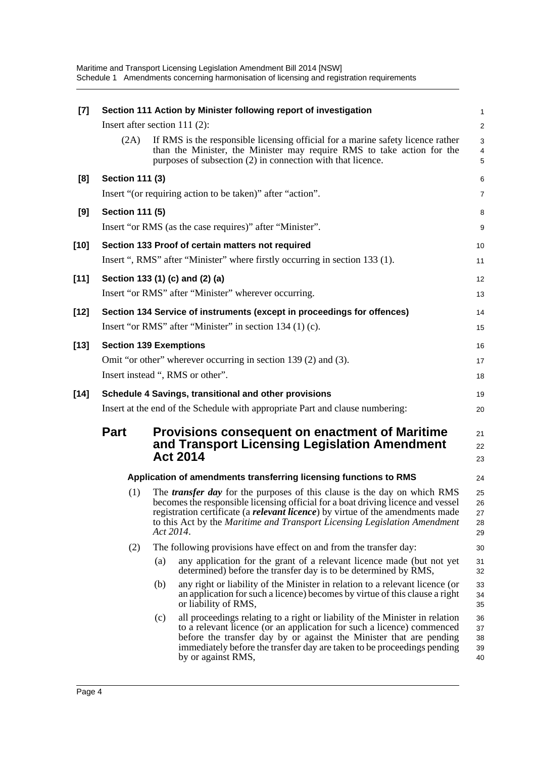| $[7]$  |                                                                         |     | Section 111 Action by Minister following report of investigation                                                                                                                                                                                                                                                                                        | 1                          |  |  |  |
|--------|-------------------------------------------------------------------------|-----|---------------------------------------------------------------------------------------------------------------------------------------------------------------------------------------------------------------------------------------------------------------------------------------------------------------------------------------------------------|----------------------------|--|--|--|
|        | Insert after section $111(2)$ :                                         |     |                                                                                                                                                                                                                                                                                                                                                         | $\overline{\mathbf{c}}$    |  |  |  |
|        | (2A)                                                                    |     | If RMS is the responsible licensing official for a marine safety licence rather<br>than the Minister, the Minister may require RMS to take action for the<br>purposes of subsection (2) in connection with that licence.                                                                                                                                | 3<br>4<br>5                |  |  |  |
| [8]    | <b>Section 111 (3)</b>                                                  |     |                                                                                                                                                                                                                                                                                                                                                         | 6                          |  |  |  |
|        |                                                                         |     | Insert "(or requiring action to be taken)" after "action".                                                                                                                                                                                                                                                                                              | 7                          |  |  |  |
| [9]    | <b>Section 111 (5)</b>                                                  |     |                                                                                                                                                                                                                                                                                                                                                         | 8                          |  |  |  |
|        |                                                                         |     | Insert "or RMS (as the case requires)" after "Minister".                                                                                                                                                                                                                                                                                                | 9                          |  |  |  |
| $[10]$ |                                                                         |     | Section 133 Proof of certain matters not required                                                                                                                                                                                                                                                                                                       | 10                         |  |  |  |
|        |                                                                         |     | Insert ", RMS" after "Minister" where firstly occurring in section 133 (1).                                                                                                                                                                                                                                                                             | 11                         |  |  |  |
| $[11]$ |                                                                         |     | Section 133 (1) (c) and (2) (a)                                                                                                                                                                                                                                                                                                                         | 12                         |  |  |  |
|        |                                                                         |     | Insert "or RMS" after "Minister" wherever occurring.                                                                                                                                                                                                                                                                                                    | 13                         |  |  |  |
| $[12]$ |                                                                         |     | Section 134 Service of instruments (except in proceedings for offences)                                                                                                                                                                                                                                                                                 | 14                         |  |  |  |
|        |                                                                         |     | Insert "or RMS" after "Minister" in section 134 (1) (c).                                                                                                                                                                                                                                                                                                | 15                         |  |  |  |
| $[13]$ | <b>Section 139 Exemptions</b>                                           |     |                                                                                                                                                                                                                                                                                                                                                         | 16                         |  |  |  |
|        |                                                                         |     | Omit "or other" wherever occurring in section 139 (2) and (3).                                                                                                                                                                                                                                                                                          | 17                         |  |  |  |
|        |                                                                         |     | Insert instead ", RMS or other".                                                                                                                                                                                                                                                                                                                        | 18                         |  |  |  |
| $[14]$ |                                                                         |     | Schedule 4 Savings, transitional and other provisions                                                                                                                                                                                                                                                                                                   | 19                         |  |  |  |
|        |                                                                         |     | Insert at the end of the Schedule with appropriate Part and clause numbering:                                                                                                                                                                                                                                                                           | 20                         |  |  |  |
|        | <b>Part</b>                                                             |     | <b>Provisions consequent on enactment of Maritime</b><br>and Transport Licensing Legislation Amendment<br><b>Act 2014</b>                                                                                                                                                                                                                               | 21<br>22<br>23             |  |  |  |
|        | Application of amendments transferring licensing functions to RMS<br>24 |     |                                                                                                                                                                                                                                                                                                                                                         |                            |  |  |  |
|        | (1)                                                                     |     | The <i>transfer day</i> for the purposes of this clause is the day on which RMS<br>becomes the responsible licensing official for a boat driving licence and vessel<br>registration certificate (a <b>relevant licence</b> ) by virtue of the amendments made<br>to this Act by the Maritime and Transport Licensing Legislation Amendment<br>Act 2014. | 25<br>26<br>27<br>28<br>29 |  |  |  |
|        | (2)                                                                     |     | The following provisions have effect on and from the transfer day:                                                                                                                                                                                                                                                                                      | 30                         |  |  |  |
|        |                                                                         | (a) | any application for the grant of a relevant licence made (but not yet<br>determined) before the transfer day is to be determined by RMS,                                                                                                                                                                                                                | 31<br>32                   |  |  |  |
|        |                                                                         | (b) | any right or liability of the Minister in relation to a relevant licence (or<br>an application for such a licence) becomes by virtue of this clause a right<br>or liability of RMS,                                                                                                                                                                     | 33<br>34<br>35             |  |  |  |
|        |                                                                         | (c) | all proceedings relating to a right or liability of the Minister in relation<br>to a relevant licence (or an application for such a licence) commenced<br>before the transfer day by or against the Minister that are pending<br>immediately before the transfer day are taken to be proceedings pending<br>by or against RMS,                          | 36<br>37<br>38<br>39<br>40 |  |  |  |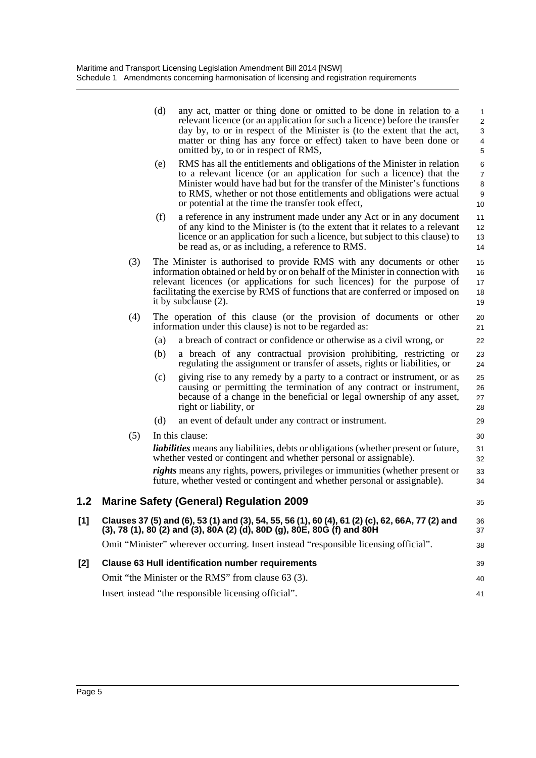|     |     | (d) | any act, matter or thing done or omitted to be done in relation to a<br>relevant licence (or an application for such a licence) before the transfer<br>day by, to or in respect of the Minister is (to the extent that the act,<br>matter or thing has any force or effect) taken to have been done or<br>omitted by, to or in respect of RMS,               | 1<br>$\overline{\mathbf{c}}$<br>3<br>$\overline{\mathcal{L}}$<br>5 |
|-----|-----|-----|--------------------------------------------------------------------------------------------------------------------------------------------------------------------------------------------------------------------------------------------------------------------------------------------------------------------------------------------------------------|--------------------------------------------------------------------|
|     |     | (e) | RMS has all the entitlements and obligations of the Minister in relation<br>to a relevant licence (or an application for such a licence) that the<br>Minister would have had but for the transfer of the Minister's functions<br>to RMS, whether or not those entitlements and obligations were actual<br>or potential at the time the transfer took effect, | 6<br>$\overline{7}$<br>8<br>9<br>10                                |
|     |     | (f) | a reference in any instrument made under any Act or in any document<br>of any kind to the Minister is (to the extent that it relates to a relevant<br>licence or an application for such a licence, but subject to this clause) to<br>be read as, or as including, a reference to RMS.                                                                       | 11<br>12<br>13<br>14                                               |
|     | (3) |     | The Minister is authorised to provide RMS with any documents or other<br>information obtained or held by or on behalf of the Minister in connection with<br>relevant licences (or applications for such licences) for the purpose of<br>facilitating the exercise by RMS of functions that are conferred or imposed on<br>it by subclause (2).               | 15<br>16<br>17<br>18<br>19                                         |
|     | (4) |     | The operation of this clause (or the provision of documents or other<br>information under this clause) is not to be regarded as:                                                                                                                                                                                                                             | 20<br>21                                                           |
|     |     | (a) | a breach of contract or confidence or otherwise as a civil wrong, or                                                                                                                                                                                                                                                                                         | 22                                                                 |
|     |     | (b) | a breach of any contractual provision prohibiting, restricting or<br>regulating the assignment or transfer of assets, rights or liabilities, or                                                                                                                                                                                                              | 23<br>24                                                           |
|     |     | (c) | giving rise to any remedy by a party to a contract or instrument, or as<br>causing or permitting the termination of any contract or instrument,<br>because of a change in the beneficial or legal ownership of any asset,<br>right or liability, or                                                                                                          | 25<br>26<br>27<br>28                                               |
|     |     | (d) | an event of default under any contract or instrument.                                                                                                                                                                                                                                                                                                        | 29                                                                 |
|     | (5) |     | In this clause:                                                                                                                                                                                                                                                                                                                                              | 30                                                                 |
|     |     |     | <i>liabilities</i> means any liabilities, debts or obligations (whether present or future,<br>whether vested or contingent and whether personal or assignable).                                                                                                                                                                                              | 31<br>32                                                           |
|     |     |     | <i>rights</i> means any rights, powers, privileges or immunities (whether present or<br>future, whether vested or contingent and whether personal or assignable).                                                                                                                                                                                            | 33<br>34                                                           |
| 1.2 |     |     | <b>Marine Safety (General) Regulation 2009</b>                                                                                                                                                                                                                                                                                                               | 35                                                                 |
| [1] |     |     | Clauses 37 (5) and (6), 53 (1) and (3), 54, 55, 56 (1), 60 (4), 61 (2) (c), 62, 66A, 77 (2) and<br>(3), 78 (1), 80 (2) and (3), 80A (2) (d), 80D (g), 80E, 80G (f) and 80H                                                                                                                                                                                   | 36<br>37                                                           |
|     |     |     | Omit "Minister" wherever occurring. Insert instead "responsible licensing official".                                                                                                                                                                                                                                                                         | 38                                                                 |
| [2] |     |     | <b>Clause 63 Hull identification number requirements</b>                                                                                                                                                                                                                                                                                                     | 39                                                                 |
|     |     |     | Omit "the Minister or the RMS" from clause 63 (3).                                                                                                                                                                                                                                                                                                           | 40                                                                 |
|     |     |     | Insert instead "the responsible licensing official".                                                                                                                                                                                                                                                                                                         | 41                                                                 |
|     |     |     |                                                                                                                                                                                                                                                                                                                                                              |                                                                    |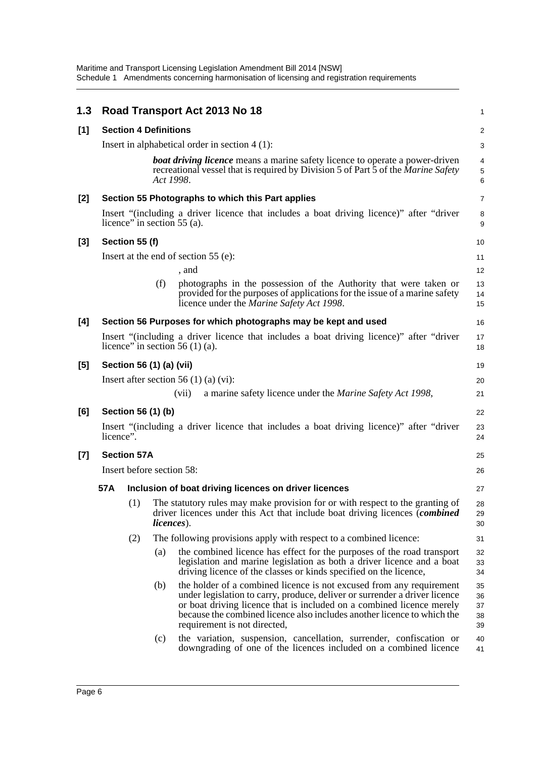Maritime and Transport Licensing Legislation Amendment Bill 2014 [NSW] Schedule 1 Amendments concerning harmonisation of licensing and registration requirements

| 1.3 |                                 |                                                                                                                   |           | Road Transport Act 2013 No 18                                                                                                                                                                                                                                                                                                          | 1                          |                                                                                                                                                                  |                |
|-----|---------------------------------|-------------------------------------------------------------------------------------------------------------------|-----------|----------------------------------------------------------------------------------------------------------------------------------------------------------------------------------------------------------------------------------------------------------------------------------------------------------------------------------------|----------------------------|------------------------------------------------------------------------------------------------------------------------------------------------------------------|----------------|
| [1] |                                 | <b>Section 4 Definitions</b>                                                                                      |           |                                                                                                                                                                                                                                                                                                                                        | $\overline{c}$             |                                                                                                                                                                  |                |
|     |                                 |                                                                                                                   |           | Insert in alphabetical order in section $4(1)$ :                                                                                                                                                                                                                                                                                       | 3                          |                                                                                                                                                                  |                |
|     |                                 |                                                                                                                   | Act 1998. | <b>boat driving licence</b> means a marine safety licence to operate a power-driven<br>recreational vessel that is required by Division 5 of Part 5 of the Marine Safety                                                                                                                                                               | 4<br>5<br>6                |                                                                                                                                                                  |                |
| [2] |                                 |                                                                                                                   |           | Section 55 Photographs to which this Part applies                                                                                                                                                                                                                                                                                      | $\overline{7}$             |                                                                                                                                                                  |                |
|     |                                 |                                                                                                                   |           | Insert "(including a driver licence that includes a boat driving licence)" after "driver<br>licence" in section $55$ (a).                                                                                                                                                                                                              | 8<br>9                     |                                                                                                                                                                  |                |
| [3] |                                 | Section 55 (f)                                                                                                    |           |                                                                                                                                                                                                                                                                                                                                        | 10                         |                                                                                                                                                                  |                |
|     |                                 |                                                                                                                   |           | Insert at the end of section $55$ (e):                                                                                                                                                                                                                                                                                                 | 11                         |                                                                                                                                                                  |                |
|     |                                 |                                                                                                                   |           | , and                                                                                                                                                                                                                                                                                                                                  | 12                         |                                                                                                                                                                  |                |
|     |                                 |                                                                                                                   | (f)       | photographs in the possession of the Authority that were taken or<br>provided for the purposes of applications for the issue of a marine safety<br>licence under the Marine Safety Act 1998.                                                                                                                                           | 13<br>14<br>15             |                                                                                                                                                                  |                |
| [4] |                                 |                                                                                                                   |           | Section 56 Purposes for which photographs may be kept and used                                                                                                                                                                                                                                                                         | 16                         |                                                                                                                                                                  |                |
|     |                                 |                                                                                                                   |           | Insert "(including a driver licence that includes a boat driving licence)" after "driver<br>licence" in section $56(1)(a)$ .                                                                                                                                                                                                           | 17<br>18                   |                                                                                                                                                                  |                |
| [5] |                                 | Section 56 (1) (a) (vii)                                                                                          |           |                                                                                                                                                                                                                                                                                                                                        | 19                         |                                                                                                                                                                  |                |
|     |                                 |                                                                                                                   |           | Insert after section 56 $(1)$ (a) $(vi)$ :                                                                                                                                                                                                                                                                                             | 20                         |                                                                                                                                                                  |                |
|     |                                 |                                                                                                                   |           | a marine safety licence under the <i>Marine Safety Act 1998</i> ,<br>(vii)                                                                                                                                                                                                                                                             | 21                         |                                                                                                                                                                  |                |
| [6] |                                 | Section 56 (1) (b)                                                                                                |           |                                                                                                                                                                                                                                                                                                                                        | 22                         |                                                                                                                                                                  |                |
|     |                                 | Insert "(including a driver licence that includes a boat driving licence)" after "driver<br>23<br>licence".<br>24 |           |                                                                                                                                                                                                                                                                                                                                        |                            |                                                                                                                                                                  |                |
| [7] |                                 | <b>Section 57A</b>                                                                                                |           |                                                                                                                                                                                                                                                                                                                                        | 25                         |                                                                                                                                                                  |                |
|     | Insert before section 58:<br>26 |                                                                                                                   |           |                                                                                                                                                                                                                                                                                                                                        |                            |                                                                                                                                                                  |                |
|     | 57A                             |                                                                                                                   |           | Inclusion of boat driving licences on driver licences                                                                                                                                                                                                                                                                                  | 27                         |                                                                                                                                                                  |                |
|     |                                 |                                                                                                                   |           |                                                                                                                                                                                                                                                                                                                                        | <i>licences</i> ).         | (1) The statutory rules may make provision for or with respect to the granting of<br>driver licences under this Act that include boat driving licences (combined | 28<br>29<br>30 |
|     |                                 | (2)                                                                                                               |           | The following provisions apply with respect to a combined licence:                                                                                                                                                                                                                                                                     | 31                         |                                                                                                                                                                  |                |
|     |                                 |                                                                                                                   | (a)       | the combined licence has effect for the purposes of the road transport<br>legislation and marine legislation as both a driver licence and a boat<br>driving licence of the classes or kinds specified on the licence,                                                                                                                  | 32<br>33<br>34             |                                                                                                                                                                  |                |
|     |                                 |                                                                                                                   | (b)       | the holder of a combined licence is not excused from any requirement<br>under legislation to carry, produce, deliver or surrender a driver licence<br>or boat driving licence that is included on a combined licence merely<br>because the combined licence also includes another licence to which the<br>requirement is not directed, | 35<br>36<br>37<br>38<br>39 |                                                                                                                                                                  |                |
|     |                                 |                                                                                                                   | (c)       | the variation, suspension, cancellation, surrender, confiscation or<br>downgrading of one of the licences included on a combined licence                                                                                                                                                                                               | 40<br>41                   |                                                                                                                                                                  |                |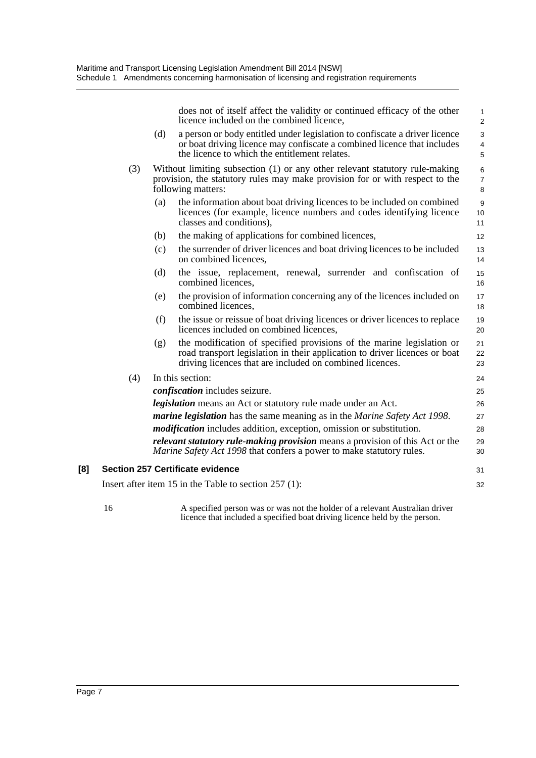does not of itself affect the validity or continued efficacy of the other licence included on the combined licence,

31 32

- (d) a person or body entitled under legislation to confiscate a driver licence or boat driving licence may confiscate a combined licence that includes the licence to which the entitlement relates.
- (3) Without limiting subsection (1) or any other relevant statutory rule-making provision, the statutory rules may make provision for or with respect to the following matters:
	- (a) the information about boat driving licences to be included on combined licences (for example, licence numbers and codes identifying licence classes and conditions),
	- (b) the making of applications for combined licences,
	- (c) the surrender of driver licences and boat driving licences to be included on combined licences,
	- (d) the issue, replacement, renewal, surrender and confiscation of combined licences,
	- (e) the provision of information concerning any of the licences included on combined licences,
	- (f) the issue or reissue of boat driving licences or driver licences to replace licences included on combined licences,
	- (g) the modification of specified provisions of the marine legislation or road transport legislation in their application to driver licences or boat driving licences that are included on combined licences.

#### (4) In this section:

*confiscation* includes seizure. *legislation* means an Act or statutory rule made under an Act. *marine legislation* has the same meaning as in the *Marine Safety Act 1998*. *modification* includes addition, exception, omission or substitution. *relevant statutory rule-making provision* means a provision of this Act or the *Marine Safety Act 1998* that confers a power to make statutory rules. 25 26 27 28 29 30

#### **[8] Section 257 Certificate evidence**

Insert after item 15 in the Table to section 257 (1):

16 A specified person was or was not the holder of a relevant Australian driver licence that included a specified boat driving licence held by the person.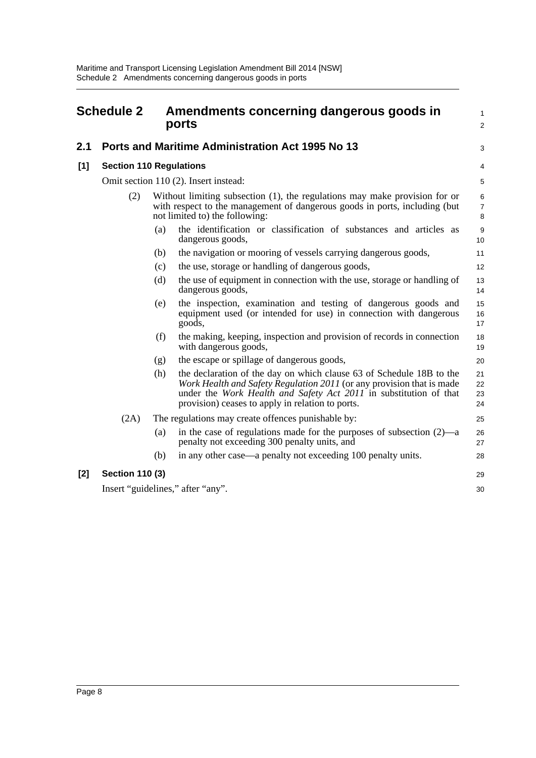<span id="page-11-0"></span>

| <b>Schedule 2</b> |                                |     | Amendments concerning dangerous goods in<br>ports                                                                                                                                                                                                                      | $\mathbf{1}$<br>2          |
|-------------------|--------------------------------|-----|------------------------------------------------------------------------------------------------------------------------------------------------------------------------------------------------------------------------------------------------------------------------|----------------------------|
| 2.1               |                                |     | Ports and Maritime Administration Act 1995 No 13                                                                                                                                                                                                                       | 3                          |
| [1]               | <b>Section 110 Regulations</b> |     |                                                                                                                                                                                                                                                                        | 4                          |
|                   |                                |     | Omit section 110 (2). Insert instead:                                                                                                                                                                                                                                  | 5                          |
|                   | (2)                            |     | Without limiting subsection (1), the regulations may make provision for or<br>with respect to the management of dangerous goods in ports, including (but<br>not limited to) the following:                                                                             | 6<br>$\boldsymbol{7}$<br>8 |
|                   |                                | (a) | the identification or classification of substances and articles as<br>dangerous goods,                                                                                                                                                                                 | $\boldsymbol{9}$<br>10     |
|                   |                                | (b) | the navigation or mooring of vessels carrying dangerous goods,                                                                                                                                                                                                         | 11                         |
|                   |                                | (c) | the use, storage or handling of dangerous goods,                                                                                                                                                                                                                       | 12                         |
|                   |                                | (d) | the use of equipment in connection with the use, storage or handling of<br>dangerous goods,                                                                                                                                                                            | 13<br>14                   |
|                   |                                | (e) | the inspection, examination and testing of dangerous goods and<br>equipment used (or intended for use) in connection with dangerous<br>goods,                                                                                                                          | 15<br>16<br>17             |
|                   |                                | (f) | the making, keeping, inspection and provision of records in connection<br>with dangerous goods,                                                                                                                                                                        | 18<br>19                   |
|                   |                                | (g) | the escape or spillage of dangerous goods,                                                                                                                                                                                                                             | 20                         |
|                   |                                | (h) | the declaration of the day on which clause 63 of Schedule 18B to the<br>Work Health and Safety Regulation 2011 (or any provision that is made<br>under the Work Health and Safety Act 2011 in substitution of that<br>provision) ceases to apply in relation to ports. | 21<br>22<br>23<br>24       |
|                   | (2A)                           |     | The regulations may create offences punishable by:                                                                                                                                                                                                                     | 25                         |
|                   |                                | (a) | in the case of regulations made for the purposes of subsection $(2)$ —a<br>penalty not exceeding 300 penalty units, and                                                                                                                                                | 26<br>27                   |
|                   |                                | (b) | in any other case—a penalty not exceeding 100 penalty units.                                                                                                                                                                                                           | 28                         |
| [2]               | <b>Section 110 (3)</b>         |     |                                                                                                                                                                                                                                                                        | 29                         |
|                   |                                |     | Insert "guidelines," after "any".                                                                                                                                                                                                                                      | 30                         |